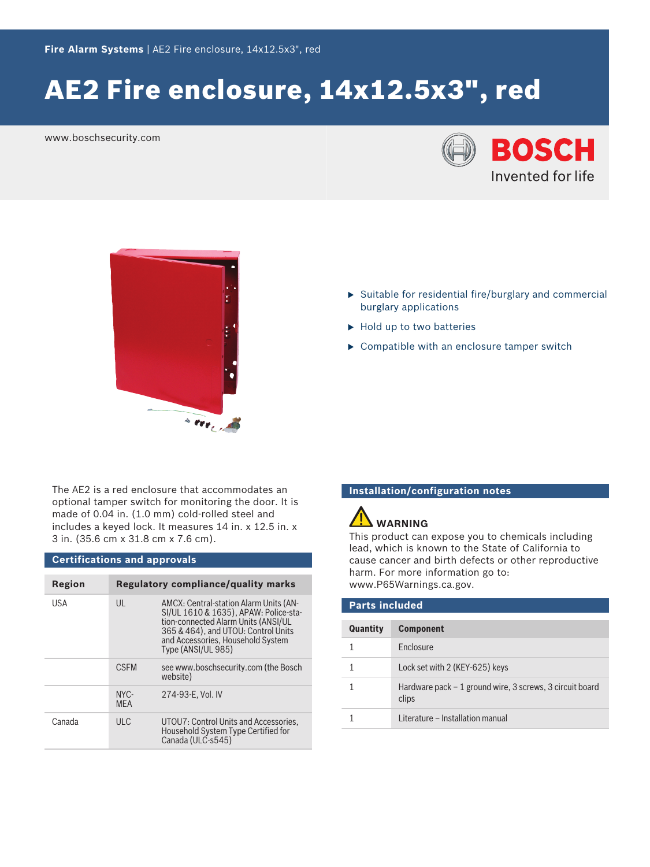# AE2 Fire enclosure, 14x12.5x3", red

www.boschsecurity.com





- $\triangleright$  Suitable for residential fire/burglary and commercial burglary applications
- $\blacktriangleright$  Hold up to two batteries
- $\triangleright$  Compatible with an enclosure tamper switch

The AE2 is a red enclosure that accommodates an optional tamper switch for monitoring the door. It is made of 0.04 in. (1.0 mm) cold-rolled steel and includes a keyed lock. It measures 14 in. x 12.5 in. x 3 in. (35.6 cm x 31.8 cm x 7.6 cm).

#### **Certifications and approvals**

| Region     |                       | Regulatory compliance/quality marks                                                                                                                                                                                      |
|------------|-----------------------|--------------------------------------------------------------------------------------------------------------------------------------------------------------------------------------------------------------------------|
| <b>USA</b> | $\mathsf{U}$          | AMCX: Central-station Alarm Units (AN-<br>SI/UL 1610 & 1635), APAW: Police-sta-<br>tion-connected Alarm Units (ANSI/UL<br>365 & 464), and UTOU: Control Units<br>and Accessories, Household System<br>Type (ANSI/UL 985) |
|            | <b>CSEM</b>           | see www.boschsecurity.com (the Bosch<br>website)                                                                                                                                                                         |
|            | $NYC -$<br><b>MFA</b> | 274-93-E, Vol. IV                                                                                                                                                                                                        |
| Canada     | ULC                   | UTOU7: Control Units and Accessories,<br>Household System Type Certified for<br>Canada (ULC-s545)                                                                                                                        |

### **Installation/configuration notes**

## **WARNING**

This product can expose you to chemicals including lead, which is known to the State of California to cause cancer and birth defects or other reproductive harm. For more information go to: [www.P65Warnings.ca.gov.](http://www.P65Warnings.ca.gov)

| <b>Parts included</b> |                                                                   |  |
|-----------------------|-------------------------------------------------------------------|--|
| Quantity              | <b>Component</b>                                                  |  |
|                       | <b>Fnclosure</b>                                                  |  |
|                       | Lock set with 2 (KEY-625) keys                                    |  |
|                       | Hardware pack – 1 ground wire, 3 screws, 3 circuit board<br>clips |  |
|                       | Literature - Installation manual                                  |  |
|                       |                                                                   |  |